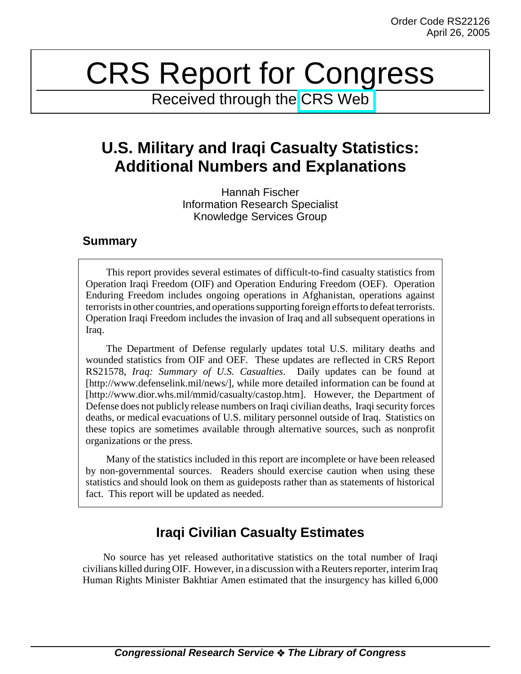# CRS Report for Congress

Received through the [CRS Web](http://www.fas.org/sgp/crs/natsec/index.html)

# **U.S. Military and Iraqi Casualty Statistics: Additional Numbers and Explanations**

Hannah Fischer Information Research Specialist Knowledge Services Group

## **Summary**

This report provides several estimates of difficult-to-find casualty statistics from Operation Iraqi Freedom (OIF) and Operation Enduring Freedom (OEF). Operation Enduring Freedom includes ongoing operations in Afghanistan, operations against terrorists in other countries, and operations supporting foreign efforts to defeat terrorists. Operation Iraqi Freedom includes the invasion of Iraq and all subsequent operations in Iraq.

The Department of Defense regularly updates total U.S. military deaths and wounded statistics from OIF and OEF. These updates are reflected in CRS Report RS21578, *Iraq: Summary of U.S. Casualties*. Daily updates can be found at [http://www.defenselink.mil/news/], while more detailed information can be found at [http://www.dior.whs.mil/mmid/casualty/castop.htm]. However, the Department of Defense does not publicly release numbers on Iraqi civilian deaths, Iraqi security forces deaths, or medical evacuations of U.S. military personnel outside of Iraq. Statistics on these topics are sometimes available through alternative sources, such as nonprofit organizations or the press.

Many of the statistics included in this report are incomplete or have been released by non-governmental sources. Readers should exercise caution when using these statistics and should look on them as guideposts rather than as statements of historical fact. This report will be updated as needed.

# **Iraqi Civilian Casualty Estimates**

No source has yet released authoritative statistics on the total number of Iraqi civilians killed during OIF. However, in a discussion with a Reuters reporter, interim Iraq Human Rights Minister Bakhtiar Amen estimated that the insurgency has killed 6,000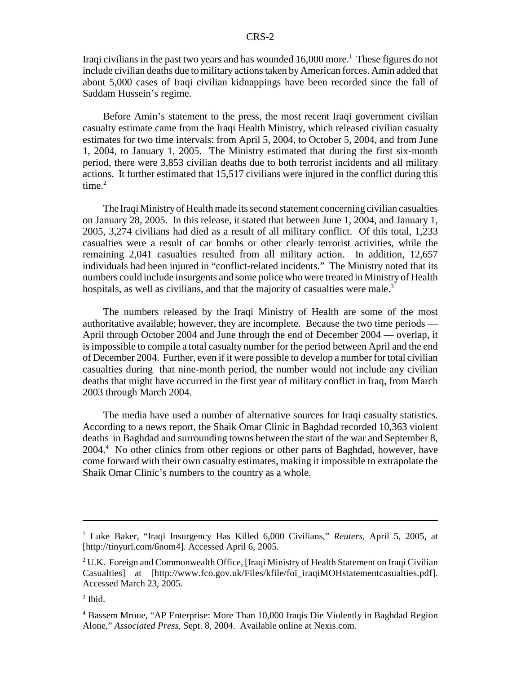Iraqi civilians in the past two years and has wounded  $16,000$  more.<sup>1</sup> These figures do not include civilian deaths due to military actions taken by American forces. Amin added that about 5,000 cases of Iraqi civilian kidnappings have been recorded since the fall of Saddam Hussein's regime.

Before Amin's statement to the press, the most recent Iraqi government civilian casualty estimate came from the Iraqi Health Ministry, which released civilian casualty estimates for two time intervals: from April 5, 2004, to October 5, 2004, and from June 1, 2004, to January 1, 2005. The Ministry estimated that during the first six-month period, there were 3,853 civilian deaths due to both terrorist incidents and all military actions. It further estimated that 15,517 civilians were injured in the conflict during this time $^2$ 

The Iraqi Ministry of Health made its second statement concerning civilian casualties on January 28, 2005. In this release, it stated that between June 1, 2004, and January 1, 2005, 3,274 civilians had died as a result of all military conflict. Of this total, 1,233 casualties were a result of car bombs or other clearly terrorist activities, while the remaining 2,041 casualties resulted from all military action. In addition, 12,657 individuals had been injured in "conflict-related incidents." The Ministry noted that its numbers could include insurgents and some police who were treated in Ministry of Health hospitals, as well as civilians, and that the majority of casualties were male.<sup>3</sup>

The numbers released by the Iraqi Ministry of Health are some of the most authoritative available; however, they are incomplete. Because the two time periods — April through October 2004 and June through the end of December 2004 — overlap, it is impossible to compile a total casualty number for the period between April and the end of December 2004. Further, even if it were possible to develop a number for total civilian casualties during that nine-month period, the number would not include any civilian deaths that might have occurred in the first year of military conflict in Iraq, from March 2003 through March 2004.

The media have used a number of alternative sources for Iraqi casualty statistics. According to a news report, the Shaik Omar Clinic in Baghdad recorded 10,363 violent deaths in Baghdad and surrounding towns between the start of the war and September 8, 2004.<sup>4</sup> No other clinics from other regions or other parts of Baghdad, however, have come forward with their own casualty estimates, making it impossible to extrapolate the Shaik Omar Clinic's numbers to the country as a whole.

<sup>1</sup> Luke Baker, "Iraqi Insurgency Has Killed 6,000 Civilians," *Reuters*, April 5, 2005, at [http://tinyurl.com/6nom4]. Accessed April 6, 2005.

 $2$ U.K. Foreign and Commonwealth Office, [Iraqi Ministry of Health Statement on Iraqi Civilian Casualties] at [http://www.fco.gov.uk/Files/kfile/foi\_iraqiMOHstatementcasualties.pdf]. Accessed March 23, 2005.

 $3$  Ibid.

<sup>4</sup> Bassem Mroue, "AP Enterprise: More Than 10,000 Iraqis Die Violently in Baghdad Region Alone," *Associated Press*, Sept. 8, 2004. Available online at Nexis.com.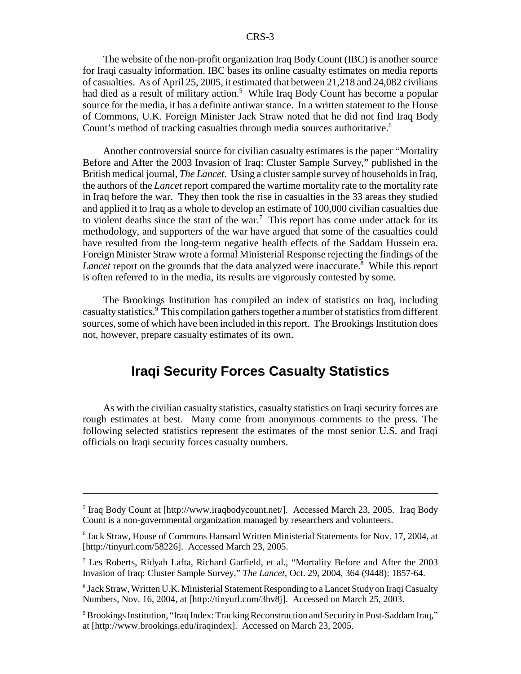The website of the non-profit organization Iraq Body Count (IBC) is another source for Iraqi casualty information. IBC bases its online casualty estimates on media reports of casualties. As of April 25, 2005, it estimated that between 21,218 and 24,082 civilians had died as a result of military action.<sup>5</sup> While Iraq Body Count has become a popular source for the media, it has a definite antiwar stance. In a written statement to the House of Commons, U.K. Foreign Minister Jack Straw noted that he did not find Iraq Body Count's method of tracking casualties through media sources authoritative.<sup>6</sup>

Another controversial source for civilian casualty estimates is the paper "Mortality Before and After the 2003 Invasion of Iraq: Cluster Sample Survey," published in the British medical journal, *The Lancet*. Using a cluster sample survey of households in Iraq, the authors of the *Lancet* report compared the wartime mortality rate to the mortality rate in Iraq before the war. They then took the rise in casualties in the 33 areas they studied and applied it to Iraq as a whole to develop an estimate of 100,000 civilian casualties due to violent deaths since the start of the war.<sup>7</sup> This report has come under attack for its methodology, and supporters of the war have argued that some of the casualties could have resulted from the long-term negative health effects of the Saddam Hussein era. Foreign Minister Straw wrote a formal Ministerial Response rejecting the findings of the Lancet report on the grounds that the data analyzed were inaccurate.<sup>8</sup> While this report is often referred to in the media, its results are vigorously contested by some.

The Brookings Institution has compiled an index of statistics on Iraq, including casualty statistics.<sup>9</sup> This compilation gathers together a number of statistics from different sources, some of which have been included in this report. The Brookings Institution does not, however, prepare casualty estimates of its own.

## **Iraqi Security Forces Casualty Statistics**

As with the civilian casualty statistics, casualty statistics on Iraqi security forces are rough estimates at best. Many come from anonymous comments to the press. The following selected statistics represent the estimates of the most senior U.S. and Iraqi officials on Iraqi security forces casualty numbers.

<sup>&</sup>lt;sup>5</sup> Iraq Body Count at [http://www.iraqbodycount.net/]. Accessed March 23, 2005. Iraq Body Count is a non-governmental organization managed by researchers and volunteers.

<sup>6</sup> Jack Straw, House of Commons Hansard Written Ministerial Statements for Nov. 17, 2004, at [http://tinyurl.com/58226]. Accessed March 23, 2005.

<sup>7</sup> Les Roberts, Ridyah Lafta, Richard Garfield, et al., "Mortality Before and After the 2003 Invasion of Iraq: Cluster Sample Survey," *The Lancet*, Oct. 29, 2004, 364 (9448): 1857-64.

<sup>8</sup> Jack Straw, Written U.K. Ministerial Statement Responding to a Lancet Study on Iraqi Casualty Numbers, Nov. 16, 2004, at [http://tinyurl.com/3hv8j]. Accessed on March 25, 2003.

<sup>9</sup> Brookings Institution, "Iraq Index: Tracking Reconstruction and Security in Post-Saddam Iraq," at [http://www.brookings.edu/iraqindex]. Accessed on March 23, 2005.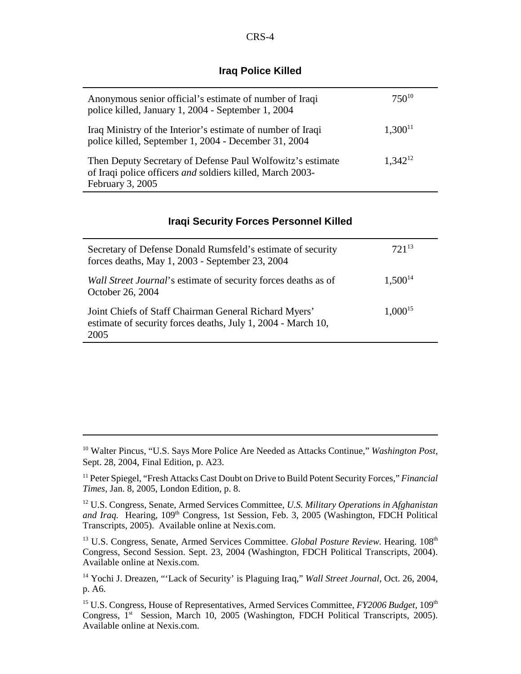#### **Iraq Police Killed**

| Anonymous senior official's estimate of number of Iraqi<br>police killed, January 1, 2004 - September 1, 2004                                      | $750^{10}$   |
|----------------------------------------------------------------------------------------------------------------------------------------------------|--------------|
| Iraq Ministry of the Interior's estimate of number of Iraqi<br>police killed, September 1, 2004 - December 31, 2004                                | $1,300^{11}$ |
| Then Deputy Secretary of Defense Paul Wolfowitz's estimate<br>of Iraqi police officers <i>and</i> soldiers killed, March 2003-<br>February 3, 2005 | $1.342^{12}$ |

#### **Iraqi Security Forces Personnel Killed**

| Secretary of Defense Donald Rumsfeld's estimate of security<br>forces deaths, May 1, 2003 - September 23, 2004                | $721^{13}$   |
|-------------------------------------------------------------------------------------------------------------------------------|--------------|
| Wall Street Journal's estimate of security forces deaths as of<br>October 26, 2004                                            | $1,500^{14}$ |
| Joint Chiefs of Staff Chairman General Richard Myers'<br>estimate of security forces deaths, July 1, 2004 - March 10,<br>2005 | $1,000^{15}$ |

10 Walter Pincus, "U.S. Says More Police Are Needed as Attacks Continue," *Washington Post*, Sept. 28, 2004, Final Edition, p. A23.

11 Peter Spiegel, "Fresh Attacks Cast Doubt on Drive to Build Potent Security Forces," *Financial Times,* Jan. 8, 2005, London Edition, p. 8.

12 U.S. Congress, Senate, Armed Services Committee, *U.S. Military Operations in Afghanistan* and Iraq. Hearing, 109<sup>th</sup> Congress, 1st Session, Feb. 3, 2005 (Washington, FDCH Political Transcripts, 2005). Available online at Nexis.com.

<sup>13</sup> U.S. Congress, Senate, Armed Services Committee. *Global Posture Review*. Hearing. 108<sup>th</sup> Congress, Second Session. Sept. 23, 2004 (Washington, FDCH Political Transcripts, 2004). Available online at Nexis.com.

14 Yochi J. Dreazen, "'Lack of Security' is Plaguing Iraq," *Wall Street Journal*, Oct. 26, 2004, p. A6.

<sup>15</sup> U.S. Congress, House of Representatives, Armed Services Committee, *FY2006 Budget*, 109<sup>th</sup> Congress, 1<sup>st</sup> Session, March 10, 2005 (Washington, FDCH Political Transcripts, 2005). Available online at Nexis.com.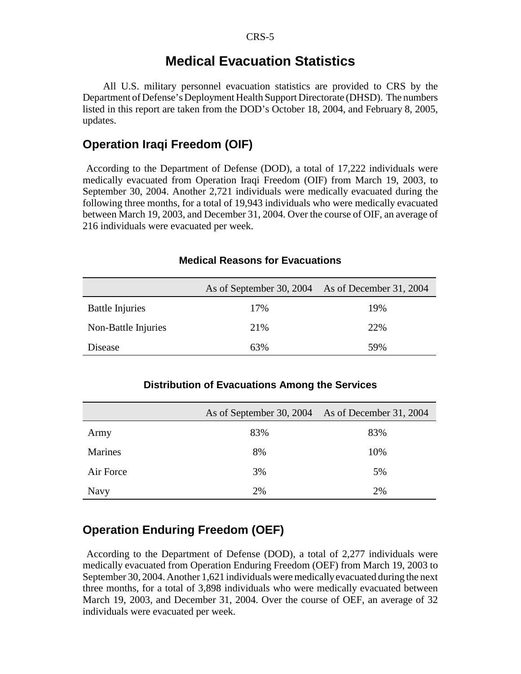# **Medical Evacuation Statistics**

All U.S. military personnel evacuation statistics are provided to CRS by the Department of Defense's Deployment Health Support Directorate (DHSD). The numbers listed in this report are taken from the DOD's October 18, 2004, and February 8, 2005, updates.

#### **Operation Iraqi Freedom (OIF)**

 According to the Department of Defense (DOD), a total of 17,222 individuals were medically evacuated from Operation Iraqi Freedom (OIF) from March 19, 2003, to September 30, 2004. Another 2,721 individuals were medically evacuated during the following three months, for a total of 19,943 individuals who were medically evacuated between March 19, 2003, and December 31, 2004. Over the course of OIF, an average of 216 individuals were evacuated per week.

|                        | As of September 30, 2004 As of December 31, 2004 |     |
|------------------------|--------------------------------------------------|-----|
| <b>Battle Injuries</b> | 17%                                              | 19% |
| Non-Battle Injuries    | 21%                                              | 22% |
| Disease                | 63%                                              | 59% |

#### **Medical Reasons for Evacuations**

#### **Distribution of Evacuations Among the Services**

|             | As of September 30, 2004 As of December 31, 2004 |     |
|-------------|--------------------------------------------------|-----|
| Army        | 83%                                              | 83% |
| Marines     | 8%                                               | 10% |
| Air Force   | 3%                                               | 5%  |
| <b>Navy</b> | 2%                                               | 2%  |

## **Operation Enduring Freedom (OEF)**

 According to the Department of Defense (DOD), a total of 2,277 individuals were medically evacuated from Operation Enduring Freedom (OEF) from March 19, 2003 to September 30, 2004. Another 1,621 individuals were medically evacuated during the next three months, for a total of 3,898 individuals who were medically evacuated between March 19, 2003, and December 31, 2004. Over the course of OEF, an average of 32 individuals were evacuated per week.